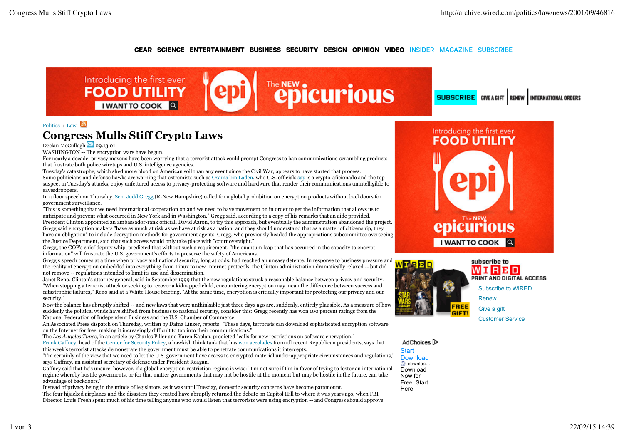### RSS SEARCH **GEAR SCIENCE ENTERTAINMENT BUSINESS SECURITY DESIGN OPINION VIDEO** INSIDER MAGAZINE SUBSCRIBE



**SUBSCRIBE** GIVE A GIFT RENEW INTERNATIONAL ORDERS

## Politics : Law  $\boxed{3}$ **Congress Mulls Stiff Crypto Laws**

Declan McCullagh  $\boxtimes$  09.13.01

WASHINGTON -- The encryption wars have begun.

For nearly a decade, privacy mavens have been worrying that a terrorist attack could prompt Congress to ban communications-scrambling products that frustrate both police wiretaps and U.S. intelligence agencies.

Tuesday's catastrophe, which shed more blood on American soil than any event since the Civil War, appears to have started that process. Some politicians and defense hawks are warning that extremists such as Osama bin Laden, who U.S. officials say is a crypto-aficionado and the top suspect in Tuesday's attacks, enjoy unfettered access to privacy-protecting software and hardware that render their communications unintelligible to eavesdroppers.

In a floor speech on Thursday, Sen. Judd Gregg (R-New Hampshire) called for a global prohibition on encryption products without backdoors for government surveillance.

"This is something that we need international cooperation on and we need to have movement on in order to get the information that allows us to anticipate and prevent what occurred in New York and in Washington," Gregg said, according to a copy of his remarks that an aide provided. President Clinton appointed an ambassador-rank official, David Aaron, to try this approach, but eventually the administration abandoned the project. Gregg said encryption makers "have as much at risk as we have at risk as a nation, and they should understand that as a matter of citizenship, they have an obligation" to include decryption methods for government agents. Gregg, who previously headed the appropriations subcommittee overseeing the Justice Department, said that such access would only take place with "court oversight."

Gregg, the GOP's chief deputy whip, predicted that without such a requirement, "the quantum leap that has occurred in the capacity to encrypt information" will frustrate the U.S. government's efforts to preserve the safety of Americans.

Gregg's speech comes at a time when privacy and national security, long at odds, had reached an uneasy detente. In response to business pressure and the reality of encryption embedded into everything from Linux to new Internet protocols, the Clinton administration dramatically relaxed -- but did not remove -- regulations intended to limit its use and dissemination.

Janet Reno, Clinton's attorney general, said in September 1999 that the new regulations struck a reasonable balance between privacy and security. "When stopping a terrorist attack or seeking to recover a kidnapped child, encountering encryption may mean the difference between success and catastrophic failures," Reno said at a White House briefing. "At the same time, encryption is critically important for protecting our privacy and our security."

Now the balance has abruptly shifted -- and new laws that were unthinkable just three days ago are, suddenly, entirely plausible. As a measure of how suddenly the political winds have shifted from business to national security, consider this: Gregg recently has won 100 percent ratings from the National Federation of Independent Business and the U.S. Chamber of Commerce.

An Associated Press dispatch on Thursday, written by Dafna Linzer, reports: "These days, terrorists can download sophisticated encryption software on the Internet for free, making it increasingly difficult to tap into their communications."

The *Los Angeles Times*, in an article by Charles Piller and Karen Kaplan, predicted "calls for new restrictions on software encryption." Frank Gaffney, head of the Center for Security Policy, a hawkish think tank that has won accolades from all recent Republican presidents, says that

this week's terrorist attacks demonstrate the government must be able to penetrate communications it intercepts. "I'm certainly of the view that we need to let the U.S. government have access to encrypted material under appropriate circumstances and regulations,"

says Gaffney, an assistant secretary of defense under President Reagan. Gaffney said that he's unsure, however, if a global encryption-restriction regime is wise: "I'm not sure if I'm in favor of trying to foster an international

regime whereby hostile goverments, or for that matter governments that may not be hostile at the moment but may be hostile in the future, can take advantage of backdoors."

Instead of privacy being in the minds of legislators, as it was until Tuesday, domestic security concerns have become paramount. The four hijacked airplanes and the disasters they created have abruptly returned the debate on Capitol Hill to where it was years ago, when FBI Director Louis Freeh spent much of his time telling anyone who would listen that terrorists were using encryption -- and Congress should approve





WNRMD PRINT AND DIGITAL ACCESS Subscribe to WIRED Renew Give a gift Customer Service

AdChoices<sup>1</sup>

**Start** Download downloa … Download Now for Free. Start Here!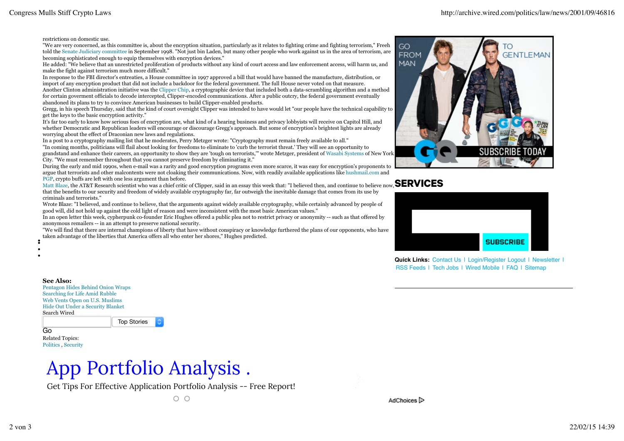restrictions on domestic use.

"We are very concerned, as this committee is, about the encryption situation, particularly as it relates to fighting crime and fighting terrorism," Freeh told the Senate Judiciary committee in September 1998. "Not just bin Laden, but many other people who work against us in the area of terrorism, are becoming sophisticated enough to equip themselves with encryption devices."

He added: "We believe that an unrestricted proliferation of products without any kind of court access and law enforcement access, will harm us, and make the fight against terrorism much more difficult."

In response to the FBI director's entreaties, a House committee in 1997 approved a bill that would have banned the manufacture, distribution, or import of any encryption product that did not include a backdoor for the federal government. The full House never voted on that measure. Another Clinton administration initiative was the Clipper Chip, a cryptographic device that included both a data-scrambling algorithm and a method for certain goverment officials to decode intercepted, Clipper-encoded communications. After a public outcry, the federal government eventually abandoned its plans to try to convince American businesses to build Clipper-enabled products.

Gregg, in his speech Thursday, said that the kind of court oversight Clipper was intended to have would let "our people have the technical capability to get the keys to the basic encryption activity."

It's far too early to know how serious foes of encryption are, what kind of a hearing business and privacy lobbyists will receive on Capitol Hill, and whether Democratic and Republican leaders will encourage or discourage Gregg's approach. But some of encryption's brightest lights are already worrying about the effect of Draconian new laws and regulations.

In a post to a cryptography mailing list that he moderates, Perry Metzger wrote: "Cryptography must remain freely available to all."

"In coming months, politicians will flail about looking for freedoms to eliminate to 'curb the terrorist threat.' They will see an opportunity to grandstand and enhance their careers, an opportunity to show they are 'tough on terrorists,'" wrote Metzger, president of Wasabi Systems of New York City. "We must remember throughout that you cannot preserve freedom by eliminating it."

During the early and mid 1990s, when e-mail was a rarity and good encryption programs even more scarce, it was easy for encryption's proponents to argue that terrorists and other malcontents were not cloaking their communications. Now, with readily available applications like hushmail.com and PGP, crypto buffs are left with one less argument than before.

Matt Blaze, the AT&T Research scientist who was a chief critic of Clipper, said in an essay this week that: "I believed then, and continue to believe now, **SERVICES** that the benefits to our security and freedom of widely available cryptography far, far outweigh the inevitable damage that comes from its use by criminals and terrorists."

Wrote Blaze: "I believed, and continue to believe, that the arguments against widely available cryptography, while certainly advanced by people of good will, did not hold up against the cold light of reason and were inconsistent with the most basic American values."

In an open letter this week, cypherpunk co-founder Eric Hughes offered a public plea not to restrict privacy or anonymity -- such as that offered by anonymous remailers -- in an attempt to preserve national security.

"We will find that there are internal champions of liberty that have without conspiracy or knowledge furthered the plans of our opponents, who have taken advantage of the liberties that America offers all who enter her shores," Hughes predicted.





**Quick Links: Contact Us | Login/Register Logout | Newsletter |** RSS Feeds | Tech Jobs | Wired Mobile | FAQ | Sitemap

**See Also:**

 $\bullet$ 

Pentagon Hides Behind Onion Wraps Searching for Life Amid Rubble Web Vents Open on U.S. Muslims Hide Out Under a Security Blanket Search Wired

Top Stories

Go Related Topics: Politics , Security

# App Portfolio Analysis .

Get Tips For Effective Application Portfolio Analysis -- Free Report!

 $\circ$